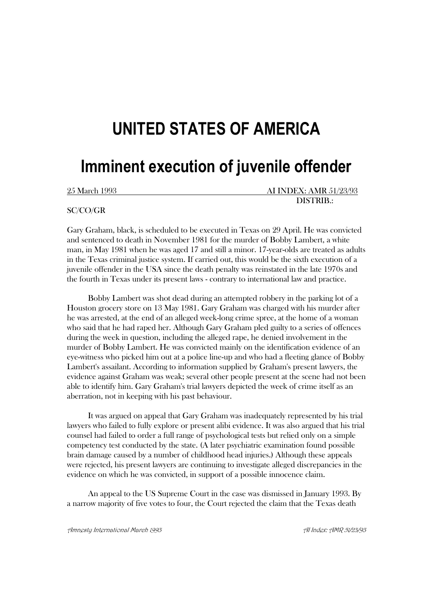# **UNITED STATES OF AMERICA**

## **Imminent execution of juvenile offender**

25 March 1993 AI INDEX: AMR 51/23/93 DISTRIB.:

## SC/CO/GR

Gary Graham, black, is scheduled to be executed in Texas on 29 April. He was convicted and sentenced to death in November 1981 for the murder of Bobby Lambert, a white man, in May 1981 when he was aged 17 and still a minor. 17-year-olds are treated as adults in the Texas criminal justice system. If carried out, this would be the sixth execution of a juvenile offender in the USA since the death penalty was reinstated in the late 1970s and the fourth in Texas under its present laws - contrary to international law and practice.

Bobby Lambert was shot dead during an attempted robbery in the parking lot of a Houston grocery store on 13 May 1981. Gary Graham was charged with his murder after he was arrested, at the end of an alleged week-long crime spree, at the home of a woman who said that he had raped her. Although Gary Graham pled guilty to a series of offences during the week in question, including the alleged rape, he denied involvement in the murder of Bobby Lambert. He was convicted mainly on the identification evidence of an eye-witness who picked him out at a police line-up and who had a fleeting glance of Bobby Lambert's assailant. According to information supplied by Graham's present lawyers, the evidence against Graham was weak; several other people present at the scene had not been able to identify him. Gary Graham's trial lawyers depicted the week of crime itself as an aberration, not in keeping with his past behaviour.

It was argued on appeal that Gary Graham was inadequately represented by his trial lawyers who failed to fully explore or present alibi evidence. It was also argued that his trial counsel had failed to order a full range of psychological tests but relied only on a simple competency test conducted by the state. (A later psychiatric examination found possible brain damage caused by a number of childhood head injuries.) Although these appeals were rejected, his present lawyers are continuing to investigate alleged discrepancies in the evidence on which he was convicted, in support of a possible innocence claim.

An appeal to the US Supreme Court in the case was dismissed in January 1993. By a narrow majority of five votes to four, the Court rejected the claim that the Texas death

Amnesta International March 1993 And and the Communicational AI Index: AMR 51/23/93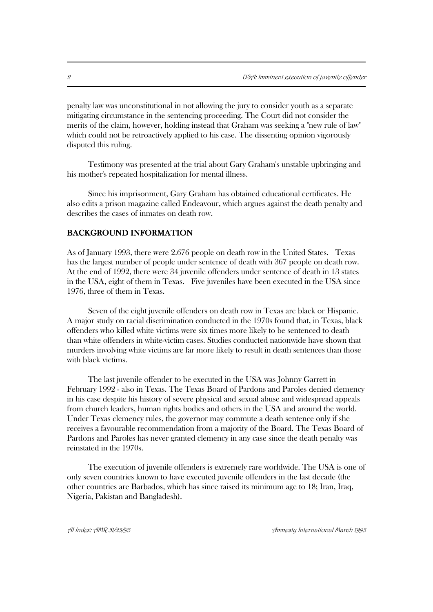penalty law was unconstitutional in not allowing the jury to consider youth as a separate mitigating circumstance in the sentencing proceeding. The Court did not consider the merits of the claim, however, holding instead that Graham was seeking a "new rule of law" which could not be retroactively applied to his case. The dissenting opinion vigorously disputed this ruling.

Testimony was presented at the trial about Gary Graham's unstable upbringing and his mother's repeated hospitalization for mental illness.

Since his imprisonment, Gary Graham has obtained educational certificates. He also edits a prison magazine called Endeavour, which argues against the death penalty and describes the cases of inmates on death row.

## BACKGROUND INFORMATION

As of January 1993, there were 2.676 people on death row in the United States. Texas has the largest number of people under sentence of death with 367 people on death row. At the end of 1992, there were 34 juvenile offenders under sentence of death in 13 states in the USA, eight of them in Texas. Five juveniles have been executed in the USA since 1976, three of them in Texas.

Seven of the eight juvenile offenders on death row in Texas are black or Hispanic. A major study on racial discrimination conducted in the 1970s found that, in Texas, black offenders who killed white victims were six times more likely to be sentenced to death than white offenders in white-victim cases. Studies conducted nationwide have shown that murders involving white victims are far more likely to result in death sentences than those with black victims.

The last juvenile offender to be executed in the USA was Johnny Garrett in February 1992 - also in Texas. The Texas Board of Pardons and Paroles denied clemency in his case despite his history of severe physical and sexual abuse and widespread appeals from church leaders, human rights bodies and others in the USA and around the world. Under Texas clemency rules, the governor may commute a death sentence only if she receives a favourable recommendation from a majority of the Board. The Texas Board of Pardons and Paroles has never granted clemency in any case since the death penalty was reinstated in the 1970s.

The execution of juvenile offenders is extremely rare worldwide. The USA is one of only seven countries known to have executed juvenile offenders in the last decade (the other countries are Barbados, which has since raised its minimum age to 18; Iran, Iraq, Nigeria, Pakistan and Bangladesh).

AI Index: AMR 51/23/93 Amnesty International March 1993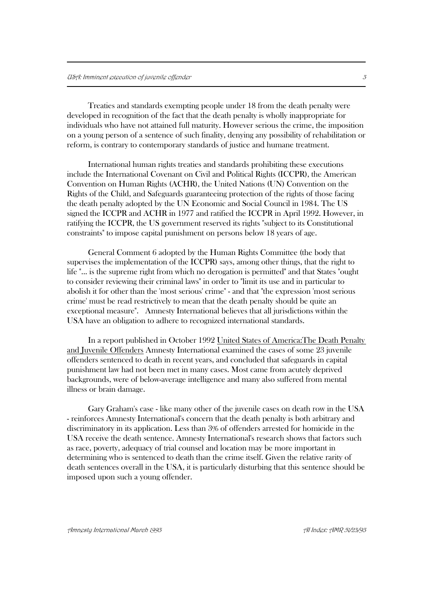Treaties and standards exempting people under 18 from the death penalty were developed in recognition of the fact that the death penalty is wholly inappropriate for individuals who have not attained full maturity. However serious the crime, the imposition on a young person of a sentence of such finality, denying any possibility of rehabilitation or reform, is contrary to contemporary standards of justice and humane treatment.

International human rights treaties and standards prohibiting these executions include the International Covenant on Civil and Political Rights (ICCPR), the American Convention on Human Rights (ACHR), the United Nations (UN) Convention on the Rights of the Child, and Safeguards guaranteeing protection of the rights of those facing the death penalty adopted by the UN Economic and Social Council in 1984. The US signed the ICCPR and ACHR in 1977 and ratified the ICCPR in April 1992. However, in ratifying the ICCPR, the US government reserved its rights "subject to its Constitutional constraints" to impose capital punishment on persons below 18 years of age.

General Comment 6 adopted by the Human Rights Committee (the body that supervises the implementation of the ICCPR) says, among other things, that the right to life "... is the supreme right from which no derogation is permitted" and that States "ought to consider reviewing their criminal laws" in order to "limit its use and in particular to abolish it for other than the 'most serious' crime" - and that "the expression 'most serious crime' must be read restrictively to mean that the death penalty should be quite an exceptional measure". Amnesty International believes that all jurisdictions within the USA have an obligation to adhere to recognized international standards.

In a report published in October 1992 United States of America:The Death Penalty and Juvenile Offenders Amnesty International examined the cases of some 23 juvenile offenders sentenced to death in recent years, and concluded that safeguards in capital punishment law had not been met in many cases. Most came from acutely deprived backgrounds, were of below-average intelligence and many also suffered from mental illness or brain damage.

Gary Graham's case - like many other of the juvenile cases on death row in the USA - reinforces Amnesty International's concern that the death penalty is both arbitrary and discriminatory in its application. Less than 3% of offenders arrested for homicide in the USA receive the death sentence. Amnesty International's research shows that factors such as race, poverty, adequacy of trial counsel and location may be more important in determining who is sentenced to death than the crime itself. Given the relative rarity of death sentences overall in the USA, it is particularly disturbing that this sentence should be imposed upon such a young offender.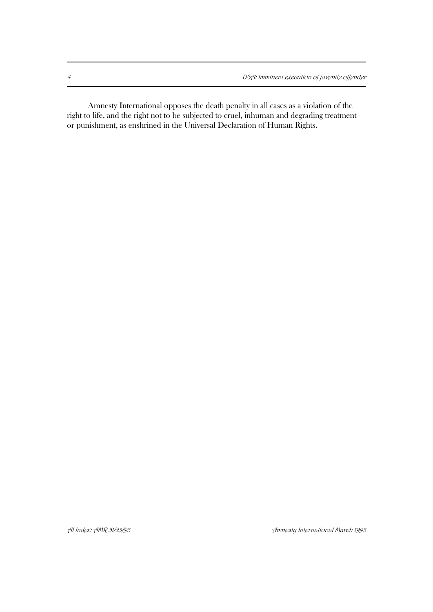Amnesty International opposes the death penalty in all cases as a violation of the right to life, and the right not to be subjected to cruel, inhuman and degrading treatment or punishment, as enshrined in the Universal Declaration of Human Rights.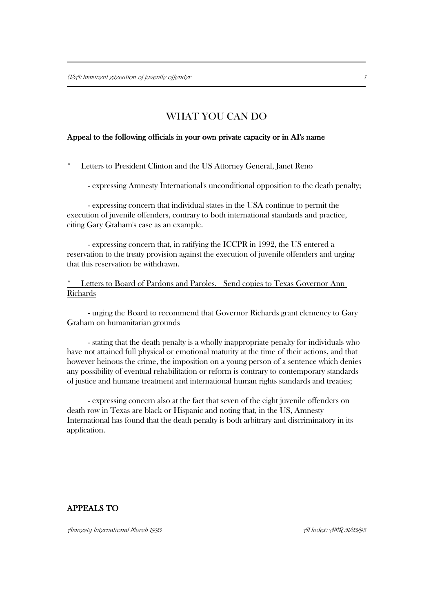## WHAT YOU CAN DO

## Appeal to the following officials in your own private capacity or in AI's name

## Letters to President Clinton and the US Attorney General, Janet Reno

- expressing Amnesty International's unconditional opposition to the death penalty;

- expressing concern that individual states in the USA continue to permit the execution of juvenile offenders, contrary to both international standards and practice, citing Gary Graham's case as an example.

- expressing concern that, in ratifying the ICCPR in 1992, the US entered a reservation to the treaty provision against the execution of juvenile offenders and urging that this reservation be withdrawn.

Letters to Board of Pardons and Paroles. Send copies to Texas Governor Ann Richards

- urging the Board to recommend that Governor Richards grant clemency to Gary Graham on humanitarian grounds

- stating that the death penalty is a wholly inappropriate penalty for individuals who have not attained full physical or emotional maturity at the time of their actions, and that however heinous the crime, the imposition on a young person of a sentence which denies any possibility of eventual rehabilitation or reform is contrary to contemporary standards of justice and humane treatment and international human rights standards and treaties;

- expressing concern also at the fact that seven of the eight juvenile offenders on death row in Texas are black or Hispanic and noting that, in the US, Amnesty International has found that the death penalty is both arbitrary and discriminatory in its application.

## APPEALS TO

Amnesty International March 1993 AI Index: AMR 51/23/93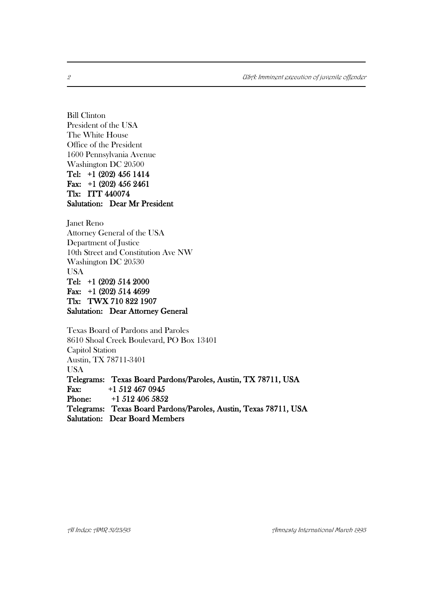<sup>2</sup> USA: Imminent execution of juvenile offender

Bill Clinton President of the USA The White House Office of the President 1600 Pennsylvania Avenue Washington DC 20500 Tel: +1 (202) 456 1414 Fax: +1 (202) 456 2461 Tlx: ITT 440074 Salutation: Dear Mr President

Janet Reno Attorney General of the USA Department of Justice 10th Street and Constitution Ave NW Washington DC 20530 USA Tel: +1 (202) 514 2000 Fax: +1 (202) 514 4699 Tlx: TWX 710 822 1907 Salutation: Dear Attorney General

Texas Board of Pardons and Paroles 8610 Shoal Creek Boulevard, PO Box 13401 Capitol Station Austin, TX 78711-3401 USA Telegrams: Texas Board Pardons/Paroles, Austin, TX 78711, USA Fax: +1 512 467 0945 Phone: +1 512 406 5852 Telegrams: Texas Board Pardons/Paroles, Austin, Texas 78711, USA Salutation: Dear Board Members